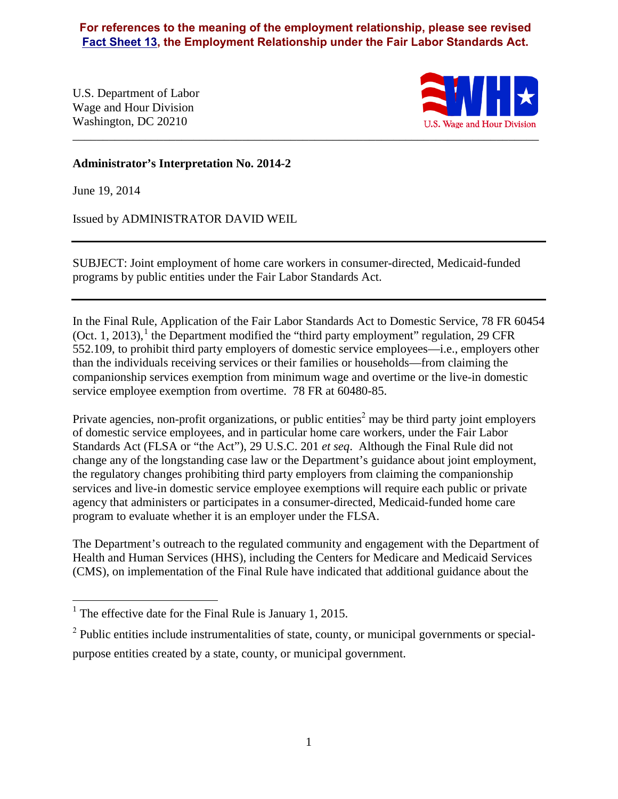**For references to the meaning of the employment relationship, please see revised [Fact Sheet 13,](https://www.dol.gov/whd/regs/compliance/whdfs13.htm) the Employment Relationship under the Fair Labor Standards Act.**

U.S. Department of Labor Wage and Hour Division Washington, DC 20210



#### **Administrator's Interpretation No. 2014-2**

June 19, 2014

Issued by ADMINISTRATOR DAVID WEIL

SUBJECT: Joint employment of home care workers in consumer-directed, Medicaid-funded programs by public entities under the Fair Labor Standards Act.

In the Final Rule, Application of the Fair Labor Standards Act to Domestic Service, 78 FR 60454 (Oct. [1](#page-0-0), 2013),  $^1$  the Department modified the "third party employment" regulation, 29 CFR 552.109, to prohibit third party employers of domestic service employees—i.e., employers other than the individuals receiving services or their families or households—from claiming the companionship services exemption from minimum wage and overtime or the live-in domestic service employee exemption from overtime. 78 FR at 60480-85.

Private agencies, non-profit organizations, or public entities<sup>[2](#page-0-1)</sup> may be third party joint employers of domestic service employees, and in particular home care workers, under the Fair Labor Standards Act (FLSA or "the Act"), 29 U.S.C. 201 *et seq*. Although the Final Rule did not change any of the longstanding case law or the Department's guidance about joint employment, the regulatory changes prohibiting third party employers from claiming the companionship services and live-in domestic service employee exemptions will require each public or private agency that administers or participates in a consumer-directed, Medicaid-funded home care program to evaluate whether it is an employer under the FLSA.

The Department's outreach to the regulated community and engagement with the Department of Health and Human Services (HHS), including the Centers for Medicare and Medicaid Services (CMS), on implementation of the Final Rule have indicated that additional guidance about the

<span id="page-0-0"></span><sup>&</sup>lt;sup>1</sup> The effective date for the Final Rule is January 1, 2015.

<span id="page-0-1"></span> $2$  Public entities include instrumentalities of state, county, or municipal governments or specialpurpose entities created by a state, county, or municipal government.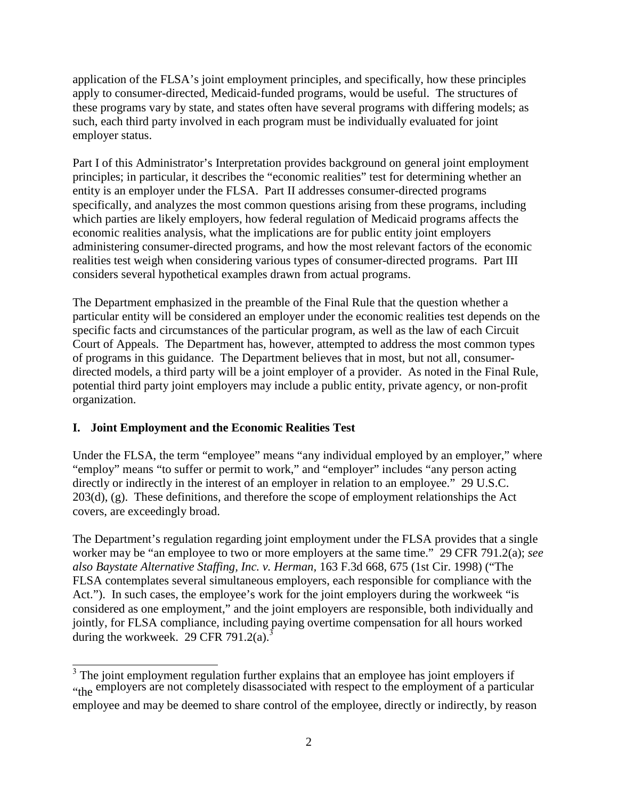application of the FLSA's joint employment principles, and specifically, how these principles apply to consumer-directed, Medicaid-funded programs, would be useful. The structures of these programs vary by state, and states often have several programs with differing models; as such, each third party involved in each program must be individually evaluated for joint employer status.

Part I of this Administrator's Interpretation provides background on general joint employment principles; in particular, it describes the "economic realities" test for determining whether an entity is an employer under the FLSA. Part II addresses consumer-directed programs specifically, and analyzes the most common questions arising from these programs, including which parties are likely employers, how federal regulation of Medicaid programs affects the economic realities analysis, what the implications are for public entity joint employers administering consumer-directed programs, and how the most relevant factors of the economic realities test weigh when considering various types of consumer-directed programs. Part III considers several hypothetical examples drawn from actual programs.

The Department emphasized in the preamble of the Final Rule that the question whether a particular entity will be considered an employer under the economic realities test depends on the specific facts and circumstances of the particular program, as well as the law of each Circuit Court of Appeals. The Department has, however, attempted to address the most common types of programs in this guidance. The Department believes that in most, but not all, consumerdirected models, a third party will be a joint employer of a provider. As noted in the Final Rule, potential third party joint employers may include a public entity, private agency, or non-profit organization.

# **I. Joint Employment and the Economic Realities Test**

Under the FLSA, the term "employee" means "any individual employed by an employer," where "employ" means "to suffer or permit to work," and "employer" includes "any person acting directly or indirectly in the interest of an employer in relation to an employee." 29 U.S.C. 203(d), (g). These definitions, and therefore the scope of employment relationships the Act covers, are exceedingly broad.

The Department's regulation regarding joint employment under the FLSA provides that a single worker may be "an employee to two or more employers at the same time." 29 CFR 791.2(a); *see also Baystate Alternative Staffing, Inc. v. Herman,* 163 F.3d 668, 675 (1st Cir. 1998) ("The FLSA contemplates several simultaneous employers, each responsible for compliance with the Act."). In such cases, the employee's work for the joint employers during the workweek "is considered as one employment," and the joint employers are responsible, both individually and jointly, for FLSA compliance, including paying overtime compensation for all hours worked during the workweek. 29 CFR 791.2(a).<sup>[3](#page-1-0)</sup>

<span id="page-1-0"></span> $3$  The joint employment regulation further explains that an employee has joint employers if "the employers are not completely disassociated with respect to the employment of a particular employee and may be deemed to share control of the employee, directly or indirectly, by reason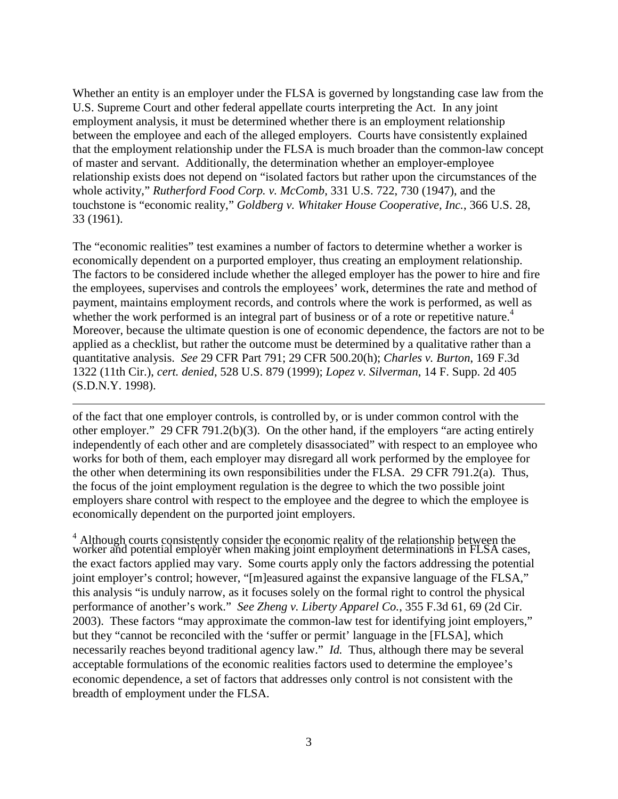Whether an entity is an employer under the FLSA is governed by longstanding case law from the U.S. Supreme Court and other federal appellate courts interpreting the Act. In any joint employment analysis, it must be determined whether there is an employment relationship between the employee and each of the alleged employers. Courts have consistently explained that the employment relationship under the FLSA is much broader than the common-law concept of master and servant. Additionally, the determination whether an employer-employee relationship exists does not depend on "isolated factors but rather upon the circumstances of the whole activity," *Rutherford Food Corp. v. McComb*, 331 U.S. 722, 730 (1947), and the touchstone is "economic reality," *Goldberg v. Whitaker House Cooperative, Inc.*, 366 U.S. 28, 33 (1961).

The "economic realities" test examines a number of factors to determine whether a worker is economically dependent on a purported employer, thus creating an employment relationship. The factors to be considered include whether the alleged employer has the power to hire and fire the employees, supervises and controls the employees' work, determines the rate and method of payment, maintains employment records, and controls where the work is performed, as well as whether the work performed is an integral part of business or of a rote or repetitive nature.<sup>[4](#page-2-0)</sup> Moreover, because the ultimate question is one of economic dependence, the factors are not to be applied as a checklist, but rather the outcome must be determined by a qualitative rather than a quantitative analysis. *See* 29 CFR Part 791; 29 CFR 500.20(h); *Charles v. Burton*, 169 F.3d 1322 (11th Cir.), *cert. denied*, 528 U.S. 879 (1999); *Lopez v. Silverman*, 14 F. Supp. 2d 405 (S.D.N.Y. 1998).

of the fact that one employer controls, is controlled by, or is under common control with the other employer." 29 CFR 791.2(b)(3). On the other hand, if the employers "are acting entirely independently of each other and are completely disassociated" with respect to an employee who works for both of them, each employer may disregard all work performed by the employee for the other when determining its own responsibilities under the FLSA. 29 CFR 791.2(a). Thus, the focus of the joint employment regulation is the degree to which the two possible joint employers share control with respect to the employee and the degree to which the employee is economically dependent on the purported joint employers.

<span id="page-2-0"></span> $4$  Although courts consistently consider the economic reality of the relationship between the worker and potential employer when making joint employment determinations in FLSA cases, the exact factors applied may vary. Some courts apply only the factors addressing the potential joint employer's control; however, "[m]easured against the expansive language of the FLSA," this analysis "is unduly narrow, as it focuses solely on the formal right to control the physical performance of another's work." *See Zheng v. Liberty Apparel Co.*, 355 F.3d 61, 69 (2d Cir. 2003). These factors "may approximate the common-law test for identifying joint employers," but they "cannot be reconciled with the 'suffer or permit' language in the [FLSA], which necessarily reaches beyond traditional agency law." *Id.* Thus, although there may be several acceptable formulations of the economic realities factors used to determine the employee's economic dependence, a set of factors that addresses only control is not consistent with the breadth of employment under the FLSA.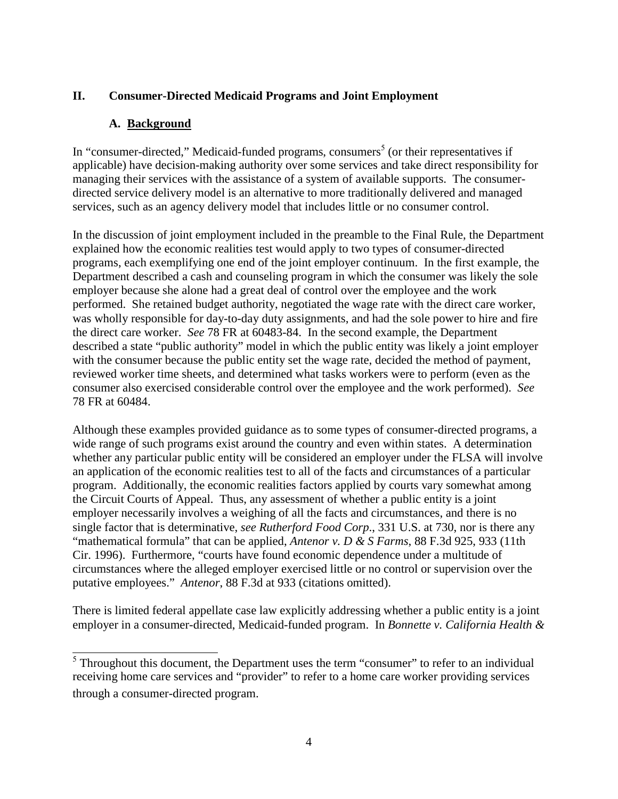### **II. Consumer-Directed Medicaid Programs and Joint Employment**

### **A. Background**

In "consumer-directed," Medicaid-funded programs, consumers<sup>5</sup> (or their representatives if applicable) have decision-making authority over some services and take direct responsibility for managing their services with the assistance of a system of available supports. The consumerdirected service delivery model is an alternative to more traditionally delivered and managed services, such as an agency delivery model that includes little or no consumer control.

In the discussion of joint employment included in the preamble to the Final Rule, the Department explained how the economic realities test would apply to two types of consumer-directed programs, each exemplifying one end of the joint employer continuum. In the first example, the Department described a cash and counseling program in which the consumer was likely the sole employer because she alone had a great deal of control over the employee and the work performed. She retained budget authority, negotiated the wage rate with the direct care worker, was wholly responsible for day-to-day duty assignments, and had the sole power to hire and fire the direct care worker. *See* 78 FR at 60483-84. In the second example, the Department described a state "public authority" model in which the public entity was likely a joint employer with the consumer because the public entity set the wage rate, decided the method of payment, reviewed worker time sheets, and determined what tasks workers were to perform (even as the consumer also exercised considerable control over the employee and the work performed). *See* 78 FR at 60484.

Although these examples provided guidance as to some types of consumer-directed programs, a wide range of such programs exist around the country and even within states. A determination whether any particular public entity will be considered an employer under the FLSA will involve an application of the economic realities test to all of the facts and circumstances of a particular program. Additionally, the economic realities factors applied by courts vary somewhat among the Circuit Courts of Appeal. Thus, any assessment of whether a public entity is a joint employer necessarily involves a weighing of all the facts and circumstances, and there is no single factor that is determinative, *see Rutherford Food Corp*., 331 U.S. at 730, nor is there any "mathematical formula" that can be applied, *Antenor v. D & S Farms*, 88 F.3d 925, 933 (11th Cir. 1996). Furthermore, "courts have found economic dependence under a multitude of circumstances where the alleged employer exercised little or no control or supervision over the putative employees." *Antenor*, 88 F.3d at 933 (citations omitted).

There is limited federal appellate case law explicitly addressing whether a public entity is a joint employer in a consumer-directed, Medicaid-funded program. In *Bonnette v. California Health &* 

 $<sup>5</sup>$  Throughout this document, the Department uses the term "consumer" to refer to an individual</sup> receiving home care services and "provider" to refer to a home care worker providing services through a consumer-directed program.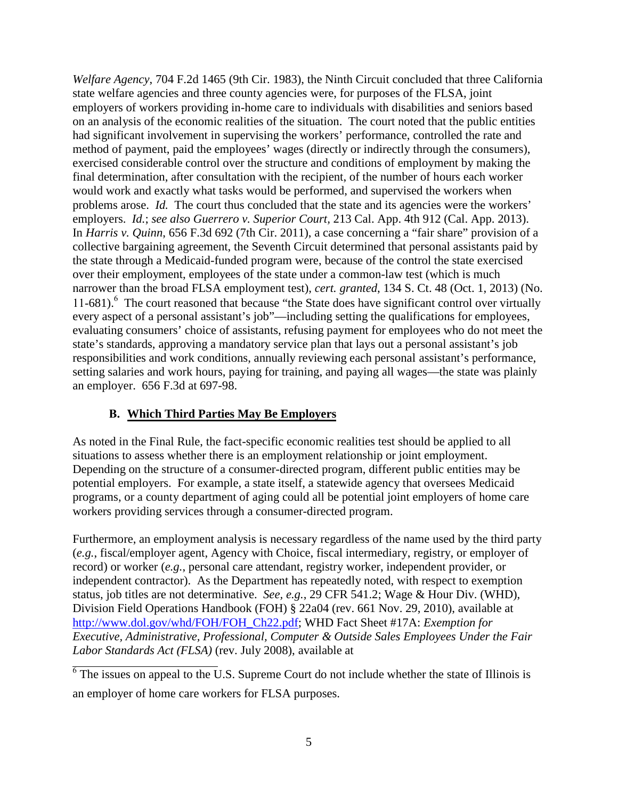*Welfare Agency*, 704 F.2d 1465 (9th Cir. 1983), the Ninth Circuit concluded that three California state welfare agencies and three county agencies were, for purposes of the FLSA, joint employers of workers providing in-home care to individuals with disabilities and seniors based on an analysis of the economic realities of the situation. The court noted that the public entities had significant involvement in supervising the workers' performance, controlled the rate and method of payment, paid the employees' wages (directly or indirectly through the consumers), exercised considerable control over the structure and conditions of employment by making the final determination, after consultation with the recipient, of the number of hours each worker would work and exactly what tasks would be performed, and supervised the workers when problems arose. *Id.* The court thus concluded that the state and its agencies were the workers' employers. *Id.*; *see also Guerrero v. Superior Court,* 213 Cal. App. 4th 912 (Cal. App. 2013). In *Harris v. Quinn*, 656 F.3d 692 (7th Cir. 2011), a case concerning a "fair share" provision of a collective bargaining agreement, the Seventh Circuit determined that personal assistants paid by the state through a Medicaid-funded program were, because of the control the state exercised over their employment, employees of the state under a common-law test (which is much narrower than the broad FLSA employment test), *cert. granted*, 134 S. Ct. 48 (Oct. 1, 2013) (No. 11-681).<sup>6</sup> The court reasoned that because "the State does have significant control over virtually every aspect of a personal assistant's job"—including setting the qualifications for employees, evaluating consumers' choice of assistants, refusing payment for employees who do not meet the state's standards, approving a mandatory service plan that lays out a personal assistant's job responsibilities and work conditions, annually reviewing each personal assistant's performance, setting salaries and work hours, paying for training, and paying all wages—the state was plainly an employer. 656 F.3d at 697-98.

# **B. Which Third Parties May Be Employers**

As noted in the Final Rule, the fact-specific economic realities test should be applied to all situations to assess whether there is an employment relationship or joint employment. Depending on the structure of a consumer-directed program, different public entities may be potential employers. For example, a state itself, a statewide agency that oversees Medicaid programs, or a county department of aging could all be potential joint employers of home care workers providing services through a consumer-directed program.

Furthermore, an employment analysis is necessary regardless of the name used by the third party (*e.g.*, fiscal/employer agent, Agency with Choice, fiscal intermediary, registry, or employer of record) or worker (*e.g.*, personal care attendant, registry worker, independent provider, or independent contractor). As the Department has repeatedly noted, with respect to exemption status, job titles are not determinative. *See, e.g.*, 29 CFR 541.2; Wage & Hour Div. (WHD), Division Field Operations Handbook (FOH) § 22a04 (rev. 661 Nov. 29, 2010), available at [http://www.dol.gov/whd/FOH/FOH\\_Ch22.pdf;](http://www.dol.gov/whd/FOH/FOH_Ch22.pdf) WHD Fact Sheet #17A: *Exemption for Executive, Administrative, Professional, Computer & Outside Sales Employees Under the Fair Labor Standards Act (FLSA)* (rev. July 2008), available at

 $6$  The issues on appeal to the U.S. Supreme Court do not include whether the state of Illinois is an employer of home care workers for FLSA purposes.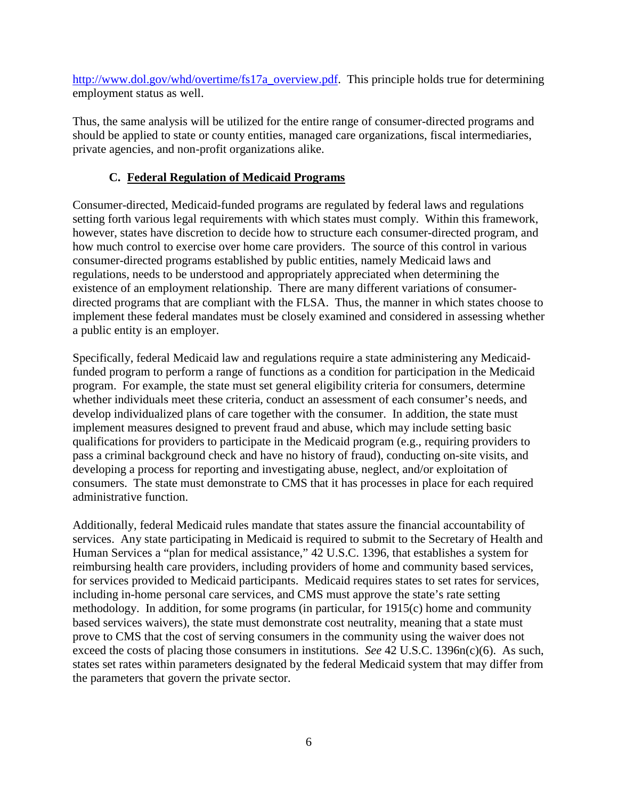[http://www.dol.gov/whd/overtime/fs17a\\_overview.pdf.](http://www.dol.gov/whd/overtime/fs17a_overview.pdf) This principle holds true for determining employment status as well.

Thus, the same analysis will be utilized for the entire range of consumer-directed programs and should be applied to state or county entities, managed care organizations, fiscal intermediaries, private agencies, and non-profit organizations alike.

# **C. Federal Regulation of Medicaid Programs**

Consumer-directed, Medicaid-funded programs are regulated by federal laws and regulations setting forth various legal requirements with which states must comply. Within this framework, however, states have discretion to decide how to structure each consumer-directed program, and how much control to exercise over home care providers. The source of this control in various consumer-directed programs established by public entities, namely Medicaid laws and regulations, needs to be understood and appropriately appreciated when determining the existence of an employment relationship. There are many different variations of consumerdirected programs that are compliant with the FLSA. Thus, the manner in which states choose to implement these federal mandates must be closely examined and considered in assessing whether a public entity is an employer.

Specifically, federal Medicaid law and regulations require a state administering any Medicaidfunded program to perform a range of functions as a condition for participation in the Medicaid program. For example, the state must set general eligibility criteria for consumers, determine whether individuals meet these criteria, conduct an assessment of each consumer's needs, and develop individualized plans of care together with the consumer. In addition, the state must implement measures designed to prevent fraud and abuse, which may include setting basic qualifications for providers to participate in the Medicaid program (e.g., requiring providers to pass a criminal background check and have no history of fraud), conducting on-site visits, and developing a process for reporting and investigating abuse, neglect, and/or exploitation of consumers. The state must demonstrate to CMS that it has processes in place for each required administrative function.

Additionally, federal Medicaid rules mandate that states assure the financial accountability of services. Any state participating in Medicaid is required to submit to the Secretary of Health and Human Services a "plan for medical assistance," 42 U.S.C. 1396, that establishes a system for reimbursing health care providers, including providers of home and community based services, for services provided to Medicaid participants. Medicaid requires states to set rates for services, including in-home personal care services, and CMS must approve the state's rate setting methodology. In addition, for some programs (in particular, for 1915(c) home and community based services waivers), the state must demonstrate cost neutrality, meaning that a state must prove to CMS that the cost of serving consumers in the community using the waiver does not exceed the costs of placing those consumers in institutions. *See* 42 U.S.C. 1396n(c)(6). As such, states set rates within parameters designated by the federal Medicaid system that may differ from the parameters that govern the private sector.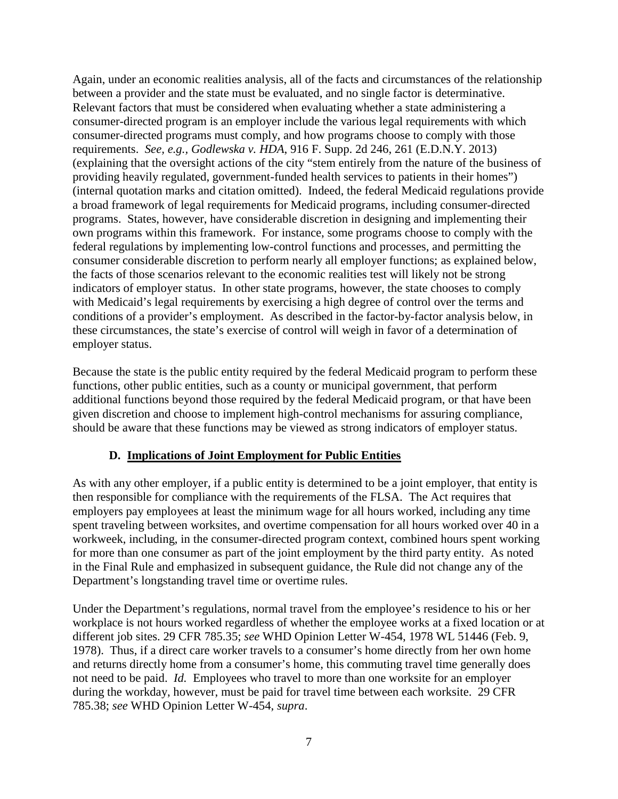Again, under an economic realities analysis, all of the facts and circumstances of the relationship between a provider and the state must be evaluated, and no single factor is determinative. Relevant factors that must be considered when evaluating whether a state administering a consumer-directed program is an employer include the various legal requirements with which consumer-directed programs must comply, and how programs choose to comply with those requirements. *See, e.g., Godlewska v. HDA*, 916 F. Supp. 2d 246, 261 (E.D.N.Y. 2013) (explaining that the oversight actions of the city "stem entirely from the nature of the business of providing heavily regulated, government-funded health services to patients in their homes") (internal quotation marks and citation omitted). Indeed, the federal Medicaid regulations provide a broad framework of legal requirements for Medicaid programs, including consumer-directed programs. States, however, have considerable discretion in designing and implementing their own programs within this framework. For instance, some programs choose to comply with the federal regulations by implementing low-control functions and processes, and permitting the consumer considerable discretion to perform nearly all employer functions; as explained below, the facts of those scenarios relevant to the economic realities test will likely not be strong indicators of employer status. In other state programs, however, the state chooses to comply with Medicaid's legal requirements by exercising a high degree of control over the terms and conditions of a provider's employment. As described in the factor-by-factor analysis below, in these circumstances, the state's exercise of control will weigh in favor of a determination of employer status.

Because the state is the public entity required by the federal Medicaid program to perform these functions, other public entities, such as a county or municipal government, that perform additional functions beyond those required by the federal Medicaid program, or that have been given discretion and choose to implement high-control mechanisms for assuring compliance, should be aware that these functions may be viewed as strong indicators of employer status.

### **D. Implications of Joint Employment for Public Entities**

As with any other employer, if a public entity is determined to be a joint employer, that entity is then responsible for compliance with the requirements of the FLSA. The Act requires that employers pay employees at least the minimum wage for all hours worked, including any time spent traveling between worksites, and overtime compensation for all hours worked over 40 in a workweek, including, in the consumer-directed program context, combined hours spent working for more than one consumer as part of the joint employment by the third party entity. As noted in the Final Rule and emphasized in subsequent guidance, the Rule did not change any of the Department's longstanding travel time or overtime rules.

Under the Department's regulations, normal travel from the employee's residence to his or her workplace is not hours worked regardless of whether the employee works at a fixed location or at different job sites. 29 CFR 785.35; *see* WHD Opinion Letter W-454, 1978 WL 51446 (Feb. 9, 1978). Thus, if a direct care worker travels to a consumer's home directly from her own home and returns directly home from a consumer's home, this commuting travel time generally does not need to be paid. *Id.* Employees who travel to more than one worksite for an employer during the workday, however, must be paid for travel time between each worksite. 29 CFR 785.38; *see* WHD Opinion Letter W-454, *supra*.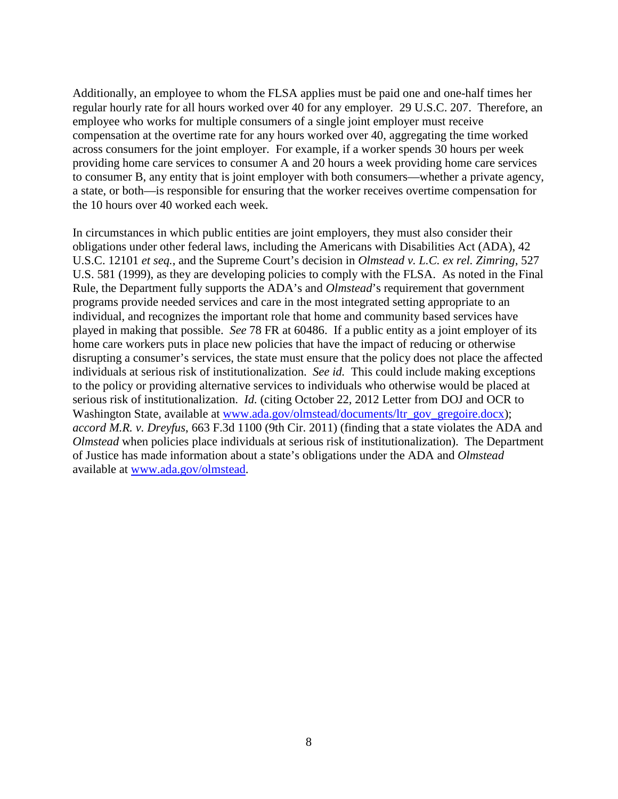Additionally, an employee to whom the FLSA applies must be paid one and one-half times her regular hourly rate for all hours worked over 40 for any employer. 29 U.S.C. 207. Therefore, an employee who works for multiple consumers of a single joint employer must receive compensation at the overtime rate for any hours worked over 40, aggregating the time worked across consumers for the joint employer. For example, if a worker spends 30 hours per week providing home care services to consumer A and 20 hours a week providing home care services to consumer B, any entity that is joint employer with both consumers—whether a private agency, a state, or both—is responsible for ensuring that the worker receives overtime compensation for the 10 hours over 40 worked each week.

In circumstances in which public entities are joint employers, they must also consider their obligations under other federal laws, including the Americans with Disabilities Act (ADA), 42 U.S.C. 12101 *et seq.*, and the Supreme Court's decision in *Olmstead v. L.C. ex rel. Zimring*, 527 U.S. 581 (1999), as they are developing policies to comply with the FLSA. As noted in the Final Rule, the Department fully supports the ADA's and *Olmstead*'s requirement that government programs provide needed services and care in the most integrated setting appropriate to an individual, and recognizes the important role that home and community based services have played in making that possible. *See* 78 FR at 60486. If a public entity as a joint employer of its home care workers puts in place new policies that have the impact of reducing or otherwise disrupting a consumer's services, the state must ensure that the policy does not place the affected individuals at serious risk of institutionalization. *See id.* This could include making exceptions to the policy or providing alternative services to individuals who otherwise would be placed at serious risk of institutionalization. *Id.* (citing October 22, 2012 Letter from DOJ and OCR to Washington State, available at [www.ada.gov/olmstead/documents/ltr\\_gov\\_gregoire.docx\)](http://www.ada.gov/olmstead/documents/ltr_gov_gregoire.docx); *accord M.R. v. Dreyfus*, 663 F.3d 1100 (9th Cir. 2011) (finding that a state violates the ADA and *Olmstead* when policies place individuals at serious risk of institutionalization). The Department of Justice has made information about a state's obligations under the ADA and *Olmstead*  available at [www.ada.gov/olmstead.](http://www.ada.gov/olmstead)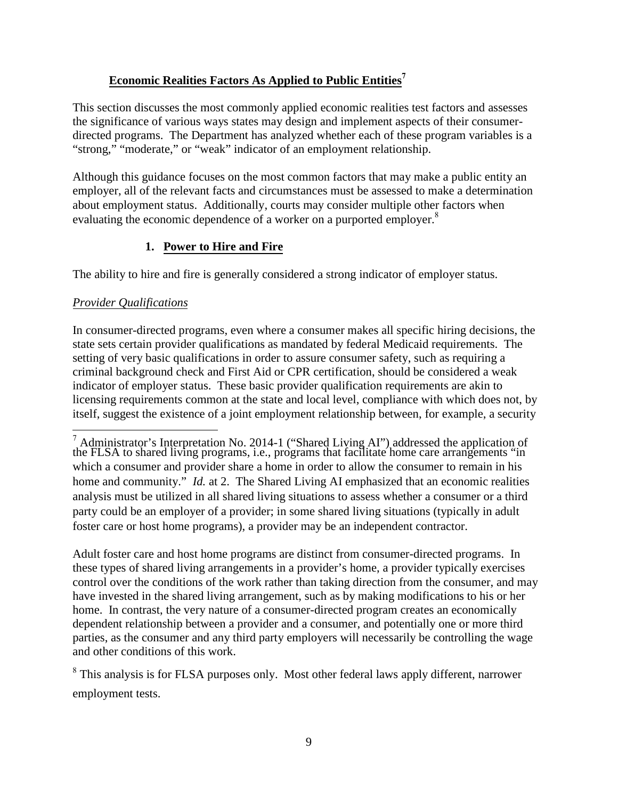# **Economic Realities Factors As Applied to Public Entities[7](#page-8-0)**

This section discusses the most commonly applied economic realities test factors and assesses the significance of various ways states may design and implement aspects of their consumerdirected programs. The Department has analyzed whether each of these program variables is a "strong," "moderate," or "weak" indicator of an employment relationship.

Although this guidance focuses on the most common factors that may make a public entity an employer, all of the relevant facts and circumstances must be assessed to make a determination about employment status. Additionally, courts may consider multiple other factors when evaluating the economic dependence of a worker on a purported employer. $8$ 

# **1. Power to Hire and Fire**

The ability to hire and fire is generally considered a strong indicator of employer status.

# *Provider Qualifications*

In consumer-directed programs, even where a consumer makes all specific hiring decisions, the state sets certain provider qualifications as mandated by federal Medicaid requirements. The setting of very basic qualifications in order to assure consumer safety, such as requiring a criminal background check and First Aid or CPR certification, should be considered a weak indicator of employer status. These basic provider qualification requirements are akin to licensing requirements common at the state and local level, compliance with which does not, by itself, suggest the existence of a joint employment relationship between, for example, a security

Adult foster care and host home programs are distinct from consumer-directed programs. In these types of shared living arrangements in a provider's home, a provider typically exercises control over the conditions of the work rather than taking direction from the consumer, and may have invested in the shared living arrangement, such as by making modifications to his or her home. In contrast, the very nature of a consumer-directed program creates an economically dependent relationship between a provider and a consumer, and potentially one or more third parties, as the consumer and any third party employers will necessarily be controlling the wage and other conditions of this work.

<span id="page-8-1"></span><sup>8</sup> This analysis is for FLSA purposes only. Most other federal laws apply different, narrower employment tests.

<span id="page-8-0"></span> $^7$  Administrator's Interpretation No. 2014-1 ("Shared Living AI") addressed the application of the FLSA to shared living programs, i.e., programs that facilitate home care arrangements "in which a consumer and provider share a home in order to allow the consumer to remain in his home and community." *Id.* at 2. The Shared Living AI emphasized that an economic realities analysis must be utilized in all shared living situations to assess whether a consumer or a third party could be an employer of a provider; in some shared living situations (typically in adult foster care or host home programs), a provider may be an independent contractor.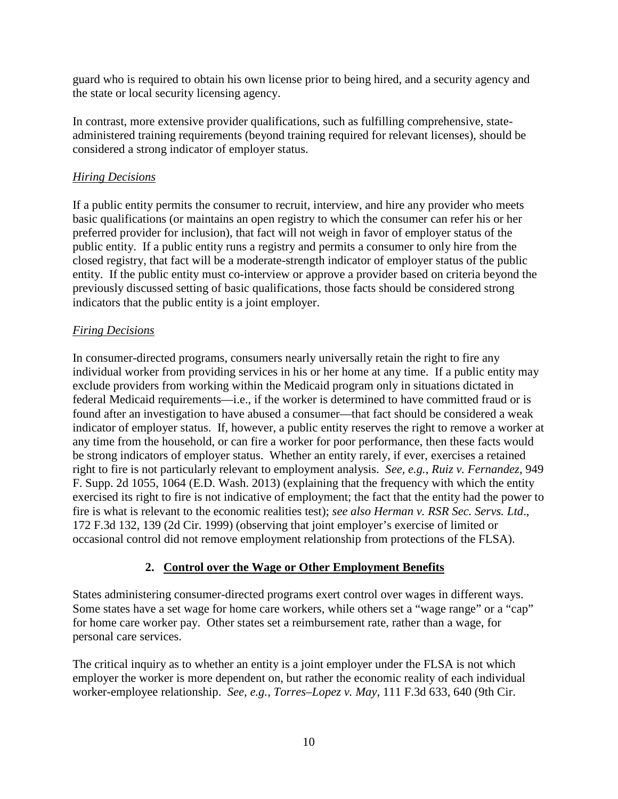guard who is required to obtain his own license prior to being hired, and a security agency and the state or local security licensing agency.

In contrast, more extensive provider qualifications, such as fulfilling comprehensive, stateadministered training requirements (beyond training required for relevant licenses), should be considered a strong indicator of employer status.

### *Hiring Decisions*

If a public entity permits the consumer to recruit, interview, and hire any provider who meets basic qualifications (or maintains an open registry to which the consumer can refer his or her preferred provider for inclusion), that fact will not weigh in favor of employer status of the public entity. If a public entity runs a registry and permits a consumer to only hire from the closed registry, that fact will be a moderate-strength indicator of employer status of the public entity. If the public entity must co-interview or approve a provider based on criteria beyond the previously discussed setting of basic qualifications, those facts should be considered strong indicators that the public entity is a joint employer.

### *Firing Decisions*

In consumer-directed programs, consumers nearly universally retain the right to fire any individual worker from providing services in his or her home at any time. If a public entity may exclude providers from working within the Medicaid program only in situations dictated in federal Medicaid requirements—i.e., if the worker is determined to have committed fraud or is found after an investigation to have abused a consumer—that fact should be considered a weak indicator of employer status. If, however, a public entity reserves the right to remove a worker at any time from the household, or can fire a worker for poor performance, then these facts would be strong indicators of employer status. Whether an entity rarely, if ever, exercises a retained right to fire is not particularly relevant to employment analysis. *See, e.g.*, *Ruiz v. Fernandez*, 949 F. Supp. 2d 1055, 1064 (E.D. Wash. 2013) (explaining that the frequency with which the entity exercised its right to fire is not indicative of employment; the fact that the entity had the power to fire is what is relevant to the economic realities test); *see also Herman v. RSR Sec. Servs. Ltd*., 172 F.3d 132, 139 (2d Cir. 1999) (observing that joint employer's exercise of limited or occasional control did not remove employment relationship from protections of the FLSA).

### **2. Control over the Wage or Other Employment Benefits**

States administering consumer-directed programs exert control over wages in different ways. Some states have a set wage for home care workers, while others set a "wage range" or a "cap" for home care worker pay. Other states set a reimbursement rate, rather than a wage, for personal care services.

The critical inquiry as to whether an entity is a joint employer under the FLSA is not which employer the worker is more dependent on, but rather the economic reality of each individual worker-employee relationship. *See, e.g.*, *Torres–Lopez v. May*, 111 F.3d 633, 640 (9th Cir.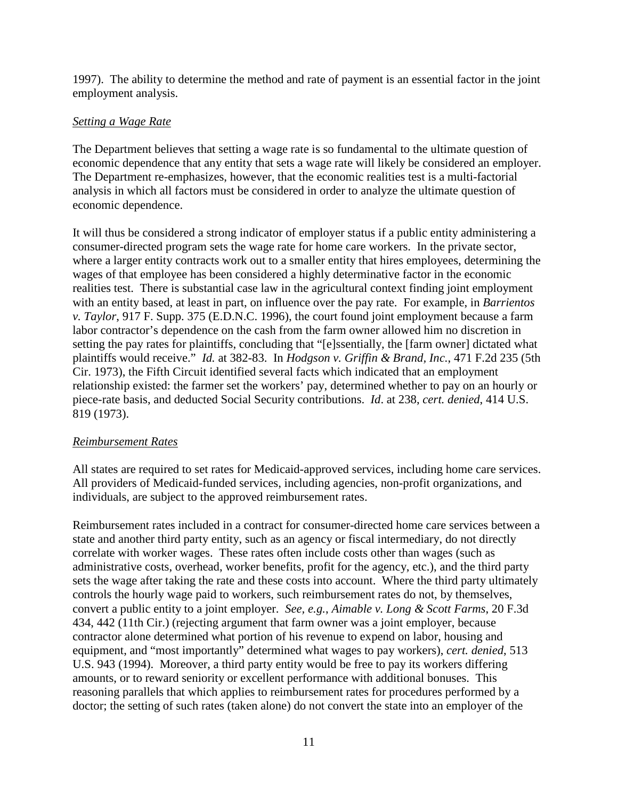1997). The ability to determine the method and rate of payment is an essential factor in the joint employment analysis.

### *Setting a Wage Rate*

The Department believes that setting a wage rate is so fundamental to the ultimate question of economic dependence that any entity that sets a wage rate will likely be considered an employer. The Department re-emphasizes, however, that the economic realities test is a multi-factorial analysis in which all factors must be considered in order to analyze the ultimate question of economic dependence.

It will thus be considered a strong indicator of employer status if a public entity administering a consumer-directed program sets the wage rate for home care workers. In the private sector, where a larger entity contracts work out to a smaller entity that hires employees, determining the wages of that employee has been considered a highly determinative factor in the economic realities test. There is substantial case law in the agricultural context finding joint employment with an entity based, at least in part, on influence over the pay rate. For example, in *Barrientos v. Taylor*, 917 F. Supp. 375 (E.D.N.C. 1996), the court found joint employment because a farm labor contractor's dependence on the cash from the farm owner allowed him no discretion in setting the pay rates for plaintiffs, concluding that "[e]ssentially, the [farm owner] dictated what plaintiffs would receive." *Id.* at 382-83. In *Hodgson v. Griffin & Brand, Inc.*, 471 F.2d 235 (5th Cir. 1973), the Fifth Circuit identified several facts which indicated that an employment relationship existed: the farmer set the workers' pay, determined whether to pay on an hourly or piece-rate basis, and deducted Social Security contributions. *Id*. at 238, *cert. denied*, 414 U.S. 819 (1973).

#### *Reimbursement Rates*

All states are required to set rates for Medicaid-approved services, including home care services. All providers of Medicaid-funded services, including agencies, non-profit organizations, and individuals, are subject to the approved reimbursement rates.

Reimbursement rates included in a contract for consumer-directed home care services between a state and another third party entity, such as an agency or fiscal intermediary, do not directly correlate with worker wages. These rates often include costs other than wages (such as administrative costs, overhead, worker benefits, profit for the agency, etc.), and the third party sets the wage after taking the rate and these costs into account. Where the third party ultimately controls the hourly wage paid to workers, such reimbursement rates do not, by themselves, convert a public entity to a joint employer. *See, e.g.*, *Aimable v. Long & Scott Farms*, 20 F.3d 434, 442 (11th Cir.) (rejecting argument that farm owner was a joint employer, because contractor alone determined what portion of his revenue to expend on labor, housing and equipment, and "most importantly" determined what wages to pay workers), *cert. denied*, 513 U.S. 943 (1994). Moreover, a third party entity would be free to pay its workers differing amounts, or to reward seniority or excellent performance with additional bonuses. This reasoning parallels that which applies to reimbursement rates for procedures performed by a doctor; the setting of such rates (taken alone) do not convert the state into an employer of the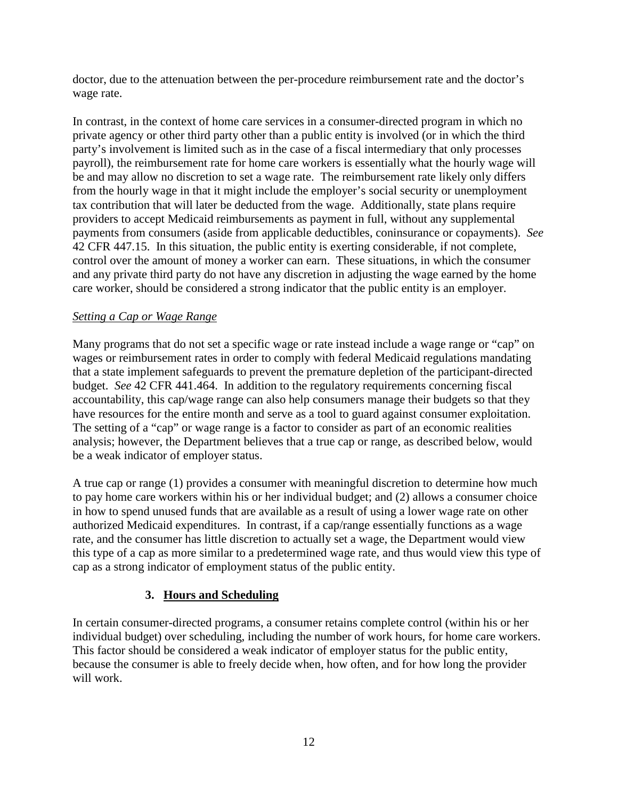doctor, due to the attenuation between the per-procedure reimbursement rate and the doctor's wage rate.

In contrast, in the context of home care services in a consumer-directed program in which no private agency or other third party other than a public entity is involved (or in which the third party's involvement is limited such as in the case of a fiscal intermediary that only processes payroll), the reimbursement rate for home care workers is essentially what the hourly wage will be and may allow no discretion to set a wage rate. The reimbursement rate likely only differs from the hourly wage in that it might include the employer's social security or unemployment tax contribution that will later be deducted from the wage. Additionally, state plans require providers to accept Medicaid reimbursements as payment in full, without any supplemental payments from consumers (aside from applicable deductibles, coninsurance or copayments). *See* 42 CFR 447.15. In this situation, the public entity is exerting considerable, if not complete, control over the amount of money a worker can earn. These situations, in which the consumer and any private third party do not have any discretion in adjusting the wage earned by the home care worker, should be considered a strong indicator that the public entity is an employer.

### *Setting a Cap or Wage Range*

Many programs that do not set a specific wage or rate instead include a wage range or "cap" on wages or reimbursement rates in order to comply with federal Medicaid regulations mandating that a state implement safeguards to prevent the premature depletion of the participant-directed budget. *See* 42 CFR 441.464. In addition to the regulatory requirements concerning fiscal accountability, this cap/wage range can also help consumers manage their budgets so that they have resources for the entire month and serve as a tool to guard against consumer exploitation. The setting of a "cap" or wage range is a factor to consider as part of an economic realities analysis; however, the Department believes that a true cap or range, as described below, would be a weak indicator of employer status.

A true cap or range (1) provides a consumer with meaningful discretion to determine how much to pay home care workers within his or her individual budget; and (2) allows a consumer choice in how to spend unused funds that are available as a result of using a lower wage rate on other authorized Medicaid expenditures. In contrast, if a cap/range essentially functions as a wage rate, and the consumer has little discretion to actually set a wage, the Department would view this type of a cap as more similar to a predetermined wage rate, and thus would view this type of cap as a strong indicator of employment status of the public entity.

### **3. Hours and Scheduling**

In certain consumer-directed programs, a consumer retains complete control (within his or her individual budget) over scheduling, including the number of work hours, for home care workers. This factor should be considered a weak indicator of employer status for the public entity, because the consumer is able to freely decide when, how often, and for how long the provider will work.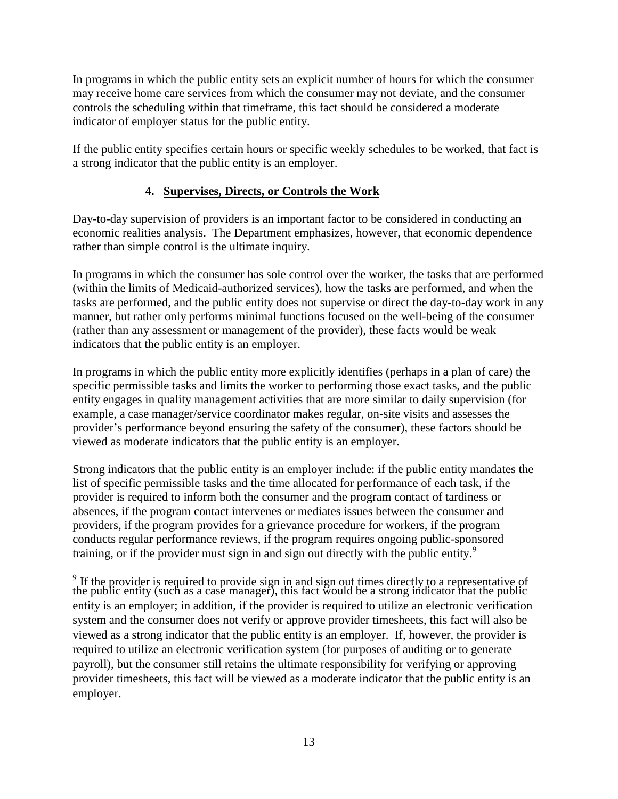In programs in which the public entity sets an explicit number of hours for which the consumer may receive home care services from which the consumer may not deviate, and the consumer controls the scheduling within that timeframe, this fact should be considered a moderate indicator of employer status for the public entity.

If the public entity specifies certain hours or specific weekly schedules to be worked, that fact is a strong indicator that the public entity is an employer.

# **4. Supervises, Directs, or Controls the Work**

Day-to-day supervision of providers is an important factor to be considered in conducting an economic realities analysis. The Department emphasizes, however, that economic dependence rather than simple control is the ultimate inquiry.

In programs in which the consumer has sole control over the worker, the tasks that are performed (within the limits of Medicaid-authorized services), how the tasks are performed, and when the tasks are performed, and the public entity does not supervise or direct the day-to-day work in any manner, but rather only performs minimal functions focused on the well-being of the consumer (rather than any assessment or management of the provider), these facts would be weak indicators that the public entity is an employer.

In programs in which the public entity more explicitly identifies (perhaps in a plan of care) the specific permissible tasks and limits the worker to performing those exact tasks, and the public entity engages in quality management activities that are more similar to daily supervision (for example, a case manager/service coordinator makes regular, on-site visits and assesses the provider's performance beyond ensuring the safety of the consumer), these factors should be viewed as moderate indicators that the public entity is an employer.

Strong indicators that the public entity is an employer include: if the public entity mandates the list of specific permissible tasks and the time allocated for performance of each task, if the provider is required to inform both the consumer and the program contact of tardiness or absences, if the program contact intervenes or mediates issues between the consumer and providers, if the program provides for a grievance procedure for workers, if the program conducts regular performance reviews, if the program requires ongoing public-sponsored training, or if the provider must sign in and sign out directly with the public entity.<sup>[9](#page-12-0)</sup>

<span id="page-12-0"></span>If the provider is required to provide sign in and sign out times directly to a representative of the public entity (such as a case manager), this fact would be a strong indicator that the public entity is an employer; in addition, if the provider is required to utilize an electronic verification system and the consumer does not verify or approve provider timesheets, this fact will also be viewed as a strong indicator that the public entity is an employer. If, however, the provider is required to utilize an electronic verification system (for purposes of auditing or to generate payroll), but the consumer still retains the ultimate responsibility for verifying or approving provider timesheets, this fact will be viewed as a moderate indicator that the public entity is an employer.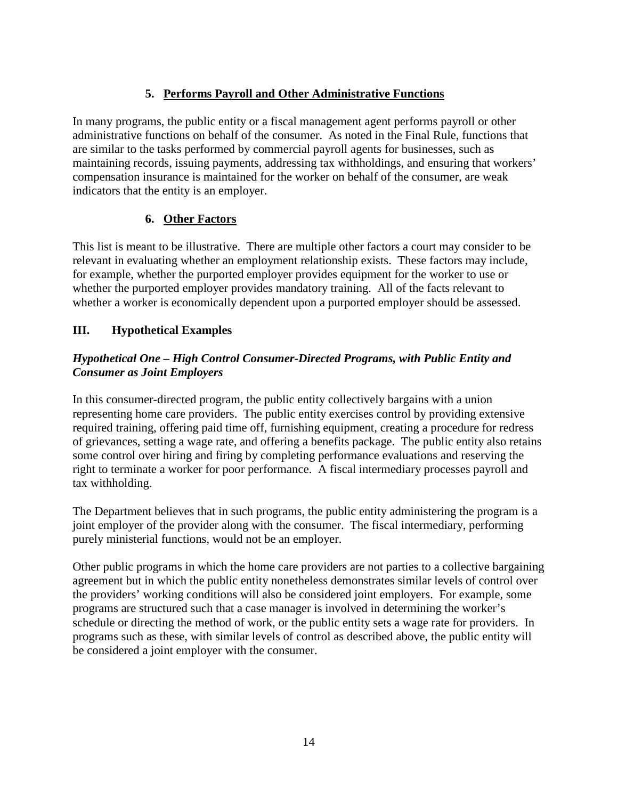# **5. Performs Payroll and Other Administrative Functions**

In many programs, the public entity or a fiscal management agent performs payroll or other administrative functions on behalf of the consumer. As noted in the Final Rule, functions that are similar to the tasks performed by commercial payroll agents for businesses, such as maintaining records, issuing payments, addressing tax withholdings, and ensuring that workers' compensation insurance is maintained for the worker on behalf of the consumer, are weak indicators that the entity is an employer.

# **6. Other Factors**

This list is meant to be illustrative. There are multiple other factors a court may consider to be relevant in evaluating whether an employment relationship exists. These factors may include, for example, whether the purported employer provides equipment for the worker to use or whether the purported employer provides mandatory training. All of the facts relevant to whether a worker is economically dependent upon a purported employer should be assessed.

# **III. Hypothetical Examples**

# *Hypothetical One – High Control Consumer-Directed Programs, with Public Entity and Consumer as Joint Employers*

In this consumer-directed program, the public entity collectively bargains with a union representing home care providers. The public entity exercises control by providing extensive required training, offering paid time off, furnishing equipment, creating a procedure for redress of grievances, setting a wage rate, and offering a benefits package. The public entity also retains some control over hiring and firing by completing performance evaluations and reserving the right to terminate a worker for poor performance. A fiscal intermediary processes payroll and tax withholding.

The Department believes that in such programs, the public entity administering the program is a joint employer of the provider along with the consumer. The fiscal intermediary, performing purely ministerial functions, would not be an employer.

Other public programs in which the home care providers are not parties to a collective bargaining agreement but in which the public entity nonetheless demonstrates similar levels of control over the providers' working conditions will also be considered joint employers. For example, some programs are structured such that a case manager is involved in determining the worker's schedule or directing the method of work, or the public entity sets a wage rate for providers. In programs such as these, with similar levels of control as described above, the public entity will be considered a joint employer with the consumer.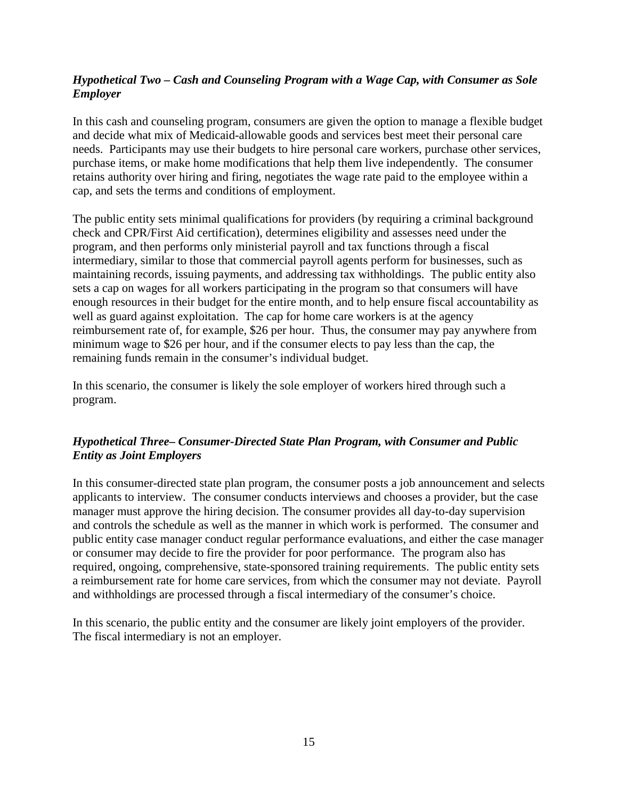# *Hypothetical Two – Cash and Counseling Program with a Wage Cap, with Consumer as Sole Employer*

In this cash and counseling program, consumers are given the option to manage a flexible budget and decide what mix of Medicaid-allowable goods and services best meet their personal care needs. Participants may use their budgets to hire personal care workers, purchase other services, purchase items, or make home modifications that help them live independently. The consumer retains authority over hiring and firing, negotiates the wage rate paid to the employee within a cap, and sets the terms and conditions of employment.

The public entity sets minimal qualifications for providers (by requiring a criminal background check and CPR/First Aid certification), determines eligibility and assesses need under the program, and then performs only ministerial payroll and tax functions through a fiscal intermediary, similar to those that commercial payroll agents perform for businesses, such as maintaining records, issuing payments, and addressing tax withholdings. The public entity also sets a cap on wages for all workers participating in the program so that consumers will have enough resources in their budget for the entire month, and to help ensure fiscal accountability as well as guard against exploitation. The cap for home care workers is at the agency reimbursement rate of, for example, \$26 per hour. Thus, the consumer may pay anywhere from minimum wage to \$26 per hour, and if the consumer elects to pay less than the cap, the remaining funds remain in the consumer's individual budget.

In this scenario, the consumer is likely the sole employer of workers hired through such a program.

# *Hypothetical Three***–** *Consumer-Directed State Plan Program, with Consumer and Public Entity as Joint Employers*

In this consumer-directed state plan program, the consumer posts a job announcement and selects applicants to interview. The consumer conducts interviews and chooses a provider, but the case manager must approve the hiring decision. The consumer provides all day-to-day supervision and controls the schedule as well as the manner in which work is performed. The consumer and public entity case manager conduct regular performance evaluations, and either the case manager or consumer may decide to fire the provider for poor performance. The program also has required, ongoing, comprehensive, state-sponsored training requirements. The public entity sets a reimbursement rate for home care services, from which the consumer may not deviate. Payroll and withholdings are processed through a fiscal intermediary of the consumer's choice.

In this scenario, the public entity and the consumer are likely joint employers of the provider. The fiscal intermediary is not an employer.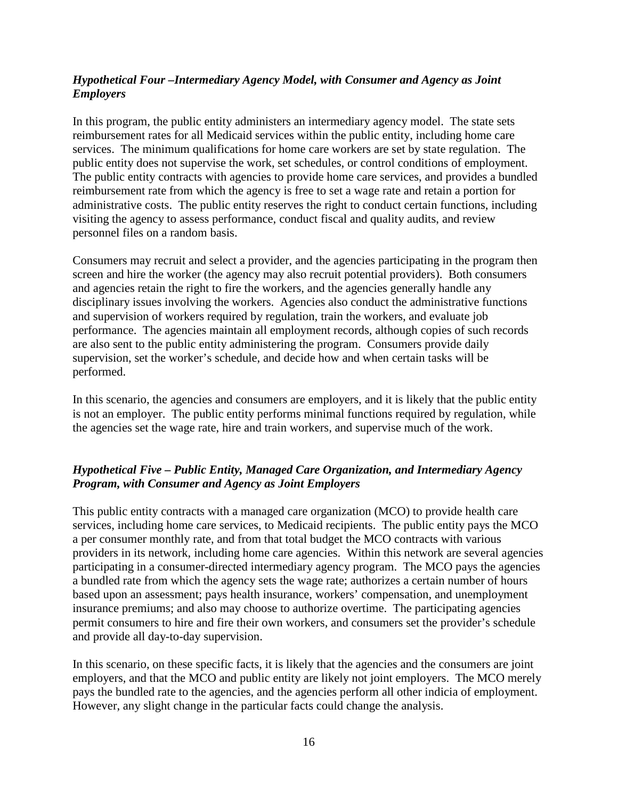### *Hypothetical Four –Intermediary Agency Model, with Consumer and Agency as Joint Employers*

In this program, the public entity administers an intermediary agency model. The state sets reimbursement rates for all Medicaid services within the public entity, including home care services. The minimum qualifications for home care workers are set by state regulation. The public entity does not supervise the work, set schedules, or control conditions of employment. The public entity contracts with agencies to provide home care services, and provides a bundled reimbursement rate from which the agency is free to set a wage rate and retain a portion for administrative costs. The public entity reserves the right to conduct certain functions, including visiting the agency to assess performance, conduct fiscal and quality audits, and review personnel files on a random basis.

Consumers may recruit and select a provider, and the agencies participating in the program then screen and hire the worker (the agency may also recruit potential providers). Both consumers and agencies retain the right to fire the workers, and the agencies generally handle any disciplinary issues involving the workers. Agencies also conduct the administrative functions and supervision of workers required by regulation, train the workers, and evaluate job performance. The agencies maintain all employment records, although copies of such records are also sent to the public entity administering the program. Consumers provide daily supervision, set the worker's schedule, and decide how and when certain tasks will be performed.

In this scenario, the agencies and consumers are employers, and it is likely that the public entity is not an employer. The public entity performs minimal functions required by regulation, while the agencies set the wage rate, hire and train workers, and supervise much of the work.

# *Hypothetical Five – Public Entity, Managed Care Organization, and Intermediary Agency Program, with Consumer and Agency as Joint Employers*

This public entity contracts with a managed care organization (MCO) to provide health care services, including home care services, to Medicaid recipients. The public entity pays the MCO a per consumer monthly rate, and from that total budget the MCO contracts with various providers in its network, including home care agencies. Within this network are several agencies participating in a consumer-directed intermediary agency program. The MCO pays the agencies a bundled rate from which the agency sets the wage rate; authorizes a certain number of hours based upon an assessment; pays health insurance, workers' compensation, and unemployment insurance premiums; and also may choose to authorize overtime. The participating agencies permit consumers to hire and fire their own workers, and consumers set the provider's schedule and provide all day-to-day supervision.

In this scenario, on these specific facts, it is likely that the agencies and the consumers are joint employers, and that the MCO and public entity are likely not joint employers. The MCO merely pays the bundled rate to the agencies, and the agencies perform all other indicia of employment. However, any slight change in the particular facts could change the analysis.